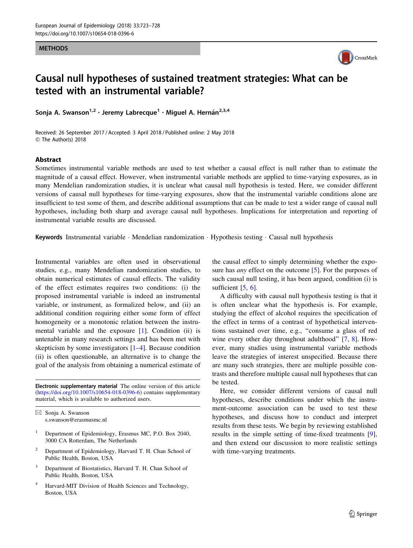#### METHODS



# Causal null hypotheses of sustained treatment strategies: What can be tested with an instrumental variable?

Sonja A. Swanson<sup>1,2</sup> · Jeremy Labrecque<sup>1</sup> · Miguel A. Hernán<sup>2,3,4</sup>

Received: 26 September 2017 / Accepted: 3 April 2018 / Published online: 2 May 2018 © The Author(s) 2018

#### Abstract

Sometimes instrumental variable methods are used to test whether a causal effect is null rather than to estimate the magnitude of a causal effect. However, when instrumental variable methods are applied to time-varying exposures, as in many Mendelian randomization studies, it is unclear what causal null hypothesis is tested. Here, we consider different versions of causal null hypotheses for time-varying exposures, show that the instrumental variable conditions alone are insufficient to test some of them, and describe additional assumptions that can be made to test a wider range of causal null hypotheses, including both sharp and average causal null hypotheses. Implications for interpretation and reporting of instrumental variable results are discussed.

Keywords Instrumental variable · Mendelian randomization · Hypothesis testing · Causal null hypothesis

Instrumental variables are often used in observational studies, e.g., many Mendelian randomization studies, to obtain numerical estimates of causal effects. The validity of the effect estimates requires two conditions: (i) the proposed instrumental variable is indeed an instrumental variable, or instrument, as formalized below, and (ii) an additional condition requiring either some form of effect homogeneity or a monotonic relation between the instrumental variable and the exposure [\[1](#page-4-0)]. Condition (ii) is untenable in many research settings and has been met with skepticism by some investigators [\[1](#page-4-0)[–4](#page-5-0)]. Because condition (ii) is often questionable, an alternative is to change the goal of the analysis from obtaining a numerical estimate of

Electronic supplementary material The online version of this article ([https://doi.org/10.1007/s10654-018-0396-6\)](https://doi.org/10.1007/s10654-018-0396-6) contains supplementary material, which is available to authorized users.

 $\boxtimes$  Sonja A. Swanson s.swanson@erasmusmc.nl

- <sup>1</sup> Department of Epidemiology, Erasmus MC, P.O. Box 2040, 3000 CA Rotterdam, The Netherlands
- <sup>2</sup> Department of Epidemiology, Harvard T. H. Chan School of Public Health, Boston, USA
- Department of Biostatistics, Harvard T. H. Chan School of Public Health, Boston, USA
- <sup>4</sup> Harvard-MIT Division of Health Sciences and Technology, Boston, USA

the causal effect to simply determining whether the exposure has *any* effect on the outcome [[5\]](#page-5-0). For the purposes of such causal null testing, it has been argued, condition (i) is sufficient  $[5, 6]$  $[5, 6]$  $[5, 6]$  $[5, 6]$ .

A difficulty with causal null hypothesis testing is that it is often unclear what the hypothesis is. For example, studying the effect of alcohol requires the specification of the effect in terms of a contrast of hypothetical interventions sustained over time, e.g., ''consume a glass of red wine every other day throughout adulthood" [\[7](#page-5-0), [8](#page-5-0)]. However, many studies using instrumental variable methods leave the strategies of interest unspecified. Because there are many such strategies, there are multiple possible contrasts and therefore multiple causal null hypotheses that can be tested.

Here, we consider different versions of causal null hypotheses, describe conditions under which the instrument-outcome association can be used to test these hypotheses, and discuss how to conduct and interpret results from these tests. We begin by reviewing established results in the simple setting of time-fixed treatments [\[9](#page-5-0)], and then extend our discussion to more realistic settings with time-varying treatments.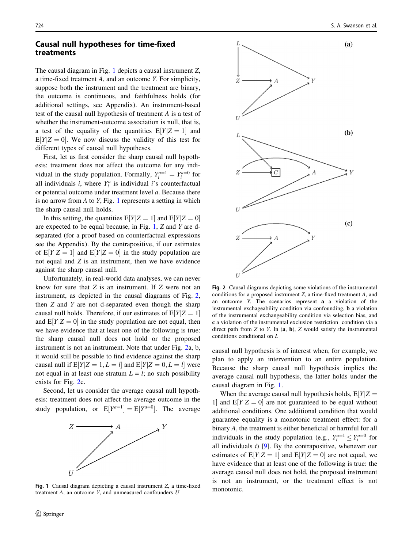#### Causal null hypotheses for time-fixed treatments

The causal diagram in Fig. 1 depicts a causal instrument Z, a time-fixed treatment A, and an outcome Y. For simplicity, suppose both the instrument and the treatment are binary, the outcome is continuous, and faithfulness holds (for additional settings, see Appendix). An instrument-based test of the causal null hypothesis of treatment A is a test of whether the instrument-outcome association is null, that is, a test of the equality of the quantities  $E[Y|Z = 1]$  and  $E[Y|Z = 0]$ . We now discuss the validity of this test for different types of causal null hypotheses.

First, let us first consider the sharp causal null hypothesis: treatment does not affect the outcome for any individual in the study population. Formally,  $Y_i^{a=1} = Y_i^{a=0}$  for all individuals *i*, where  $Y_i^a$  is individual *i*'s counterfactual or potential outcome under treatment level a. Because there is no arrow from A to Y, Fig. 1 represents a setting in which the sharp causal null holds.

In this setting, the quantities  $E[Y|Z = 1]$  and  $E[Y|Z = 0]$ are expected to be equal because, in Fig. 1, Z and Y are dseparated (for a proof based on counterfactual expressions see the Appendix). By the contrapositive, if our estimates of  $E[Y|Z = 1]$  and  $E[Y|Z = 0]$  in the study population are not equal and Z is an instrument, then we have evidence against the sharp causal null.

Unfortunately, in real-world data analyses, we can never know for sure that Z is an instrument. If Z were not an instrument, as depicted in the causal diagrams of Fig. 2, then  $Z$  and  $Y$  are not d-separated even though the sharp causal null holds. Therefore, if our estimates of  $E[Y|Z = 1]$ and  $E[Y|Z = 0]$  in the study population are not equal, then we have evidence that at least one of the following is true: the sharp causal null does not hold or the proposed instrument is not an instrument. Note that under Fig. 2a, b, it would still be possible to find evidence against the sharp causal null if  $E[Y|Z = 1, L = l]$  and  $E[Y|Z = 0, L = l]$  were not equal in at least one stratum  $L = l$ ; no such possibility exists for Fig. 2c.

Second, let us consider the average causal null hypothesis: treatment does not affect the average outcome in the study population, or  $E[Y^{a=1}] = E[Y^{a=0}]$ . The average



Fig. 1 Causal diagram depicting a causal instrument  $Z$ , a time-fixed monotonic. treatment  $A$ , an outcome  $Y$ , and unmeasured confounders  $U$ 



Fig. 2 Causal diagrams depicting some violations of the instrumental conditions for a proposed instrument Z, a time-fixed treatment A, and an outcome Y. The scenarios represent a a violation of the instrumental exchageability condition via confounding, b a violation of the instrumental exchangeability condition via selection bias, and c a violation of the instrumental exclusion restriction condition via a direct path from  $Z$  to  $Y$ . In  $(a, b)$ ,  $Z$  would satisfy the instrumental conditions conditional on L

causal null hypothesis is of interest when, for example, we plan to apply an intervention to an entire population. Because the sharp causal null hypothesis implies the average causal null hypothesis, the latter holds under the causal diagram in Fig. 1.

When the average causal null hypothesis holds,  $E[Y|Z =$ 1 and  $E[Y|Z = 0]$  are not guaranteed to be equal without additional conditions. One additional condition that would guarantee equality is a monotonic treatment effect: for a binary A, the treatment is either beneficial or harmful for all individuals in the study population (e.g.,  $Y_i^{a=1} \leq Y_i^{a=0}$  for all individuals  $i$ ) [[9\]](#page-5-0). By the contrapositive, whenever our estimates of  $E[Y|Z = 1]$  and  $E[Y|Z = 0]$  are not equal, we have evidence that at least one of the following is true: the average causal null does not hold, the proposed instrument is not an instrument, or the treatment effect is not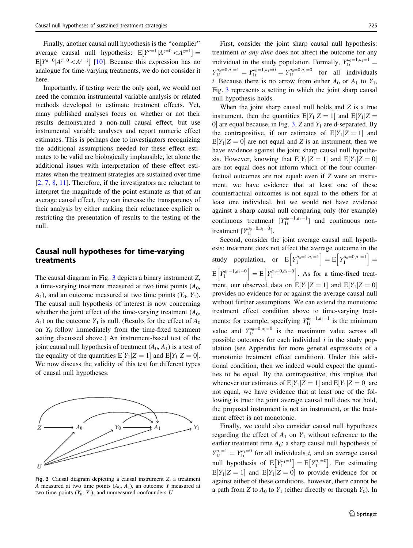<span id="page-2-0"></span>Finally, another causal null hypothesis is the ''complier'' average causal null hypothesis:  $E[Y^{a=1}|A^{z=0} \lt A^{z=1}] =$  $E[Y^{a=0} | A^{z=0} < A^{z=1}]$  [\[10](#page-5-0)]. Because this expression has no analogue for time-varying treatments, we do not consider it here.

Importantly, if testing were the only goal, we would not need the common instrumental variable analysis or related methods developed to estimate treatment effects. Yet, many published analyses focus on whether or not their results demonstrated a non-null causal effect, but use instrumental variable analyses and report numeric effect estimates. This is perhaps due to investigators recognizing the additional assumptions needed for these effect estimates to be valid are biologically implausible, let alone the additional issues with interpretation of these effect estimates when the treatment strategies are sustained over time [\[2](#page-4-0), [7,](#page-5-0) [8](#page-5-0), [11\]](#page-5-0). Therefore, if the investigators are reluctant to interpret the magnitude of the point estimate as that of an average causal effect, they can increase the transparency of their analysis by either making their reluctance explicit or restricting the presentation of results to the testing of the null.

### Causal null hypotheses for time-varying treatments

The causal diagram in Fig.  $3$  depicts a binary instrument  $Z$ , a time-varying treatment measured at two time points  $(A<sub>0</sub>$ ,  $A_1$ ), and an outcome measured at two time points  $(Y_0, Y_1)$ . The causal null hypothesis of interest is now concerning whether the joint effect of the time-varying treatment  $(A_0, A_1)$  $A_1$ ) on the outcome  $Y_1$  is null. (Results for the effect of  $A_0$ on  $Y_0$  follow immediately from the time-fixed treatment setting discussed above.) An instrument-based test of the joint causal null hypothesis of treatment  $(A_0, A_1)$  is a test of the equality of the quantities  $E[Y_1|Z = 1]$  and  $E[Y_1|Z = 0]$ . We now discuss the validity of this test for different types of causal null hypotheses.



Fig. 3 Causal diagram depicting a causal instrument Z, a treatment A measured at two time points  $(A_0, A_1)$ , an outcome Y measured at two time points  $(Y_0, Y_1)$ , and unmeasured confounders U

First, consider the joint sharp causal null hypothesis: treatment at any time does not affect the outcome for any individual in the study population. Formally,  $Y_{1i}^{a_0=1, a_1=1}$  $Y_{1i}^{a_0=0, a_1=1} = Y_{1i}^{a_0=1, a_1=0} = Y_{1i}^{a_0=0, a_1=0}$  for all individuals i. Because there is no arrow from either  $A_0$  or  $A_1$  to  $Y_1$ , Fig. 3 represents a setting in which the joint sharp causal null hypothesis holds.

When the joint sharp causal null holds and  $Z$  is a true instrument, then the quantities  $E[Y_1|Z = 1]$  and  $E[Y_1|Z =$ 0 are equal because, in Fig. 3, Z and  $Y_1$  are d-separated. By the contrapositive, if our estimates of  $E[Y_1|Z = 1]$  and  $E[Y_1|Z=0]$  are not equal and Z is an instrument, then we have evidence against the joint sharp causal null hypothesis. However, knowing that  $E[Y_1|Z = 1]$  and  $E[Y_1|Z = 0]$ are not equal does not inform which of the four counterfactual outcomes are not equal: even if Z were an instrument, we have evidence that at least one of these counterfactual outcomes is not equal to the others for at least one individual, but we would not have evidence against a sharp causal null comparing only (for example) continuous treatment  $[Y_{1i}^{a_0=1,a_1=1}]$  and continuous nontreatment  $[Y_{1i}^{a_0=0,a_1=0}]$ .

Second, consider the joint average causal null hypothesis: treatment does not affect the average outcome in the study population, or  $E[Y_1^{a_0=1}, a_1=1] = E[Y_1^{a_0=0}, a_1=1] =$  $E\left[Y_1^{a_0=1, a_1=0}\right] = E\left[Y_1^{a_0=0, a_1=0}\right]$ . As for a time-fixed treatment, our observed data on  $E[Y_1|Z=1]$  and  $E[Y_1|Z=0]$ provides no evidence for or against the average causal null without further assumptions. We can extend the monotonic treatment effect condition above to time-varying treatments: for example, specifying  $Y_{1i}^{a_0=1, a_1=1}$  is the minimum value and  $Y_{1i}^{a_0=0, a_1=0}$  is the maximum value across all possible outcomes for each individual  $i$  in the study population (see Appendix for more general expressions of a monotonic treatment effect condition). Under this additional condition, then we indeed would expect the quantities to be equal. By the contrapositive, this implies that whenever our estimates of  $E[Y_1|Z = 1]$  and  $E[Y_1|Z = 0]$  are not equal, we have evidence that at least one of the following is true: the joint average causal null does not hold, the proposed instrument is not an instrument, or the treatment effect is not monotonic.

Finally, we could also consider causal null hypotheses regarding the effect of  $A_1$  on  $Y_1$  without reference to the earlier treatment time  $A_0$ : a sharp causal null hypothesis of  $Y_{1i}^{a_1=1} = Y_{1i}^{a_1=0}$  for all individuals *i*, and an average causal null hypothesis of  $E[Y_1^{a_1=1}]$  $\left[ Y_{1}^{a_{1}=1}\right] =\textrm{E}\left[ Y_{1}^{a_{1}=0}\right]$  $[Y_1^{a_1=0}]$ . For estimating  $E[Y_1|Z=1]$  and  $E[Y_1|Z=0]$  to provide evidence for or against either of these conditions, however, there cannot be a path from Z to  $A_0$  to  $Y_1$  (either directly or through  $Y_0$ ). In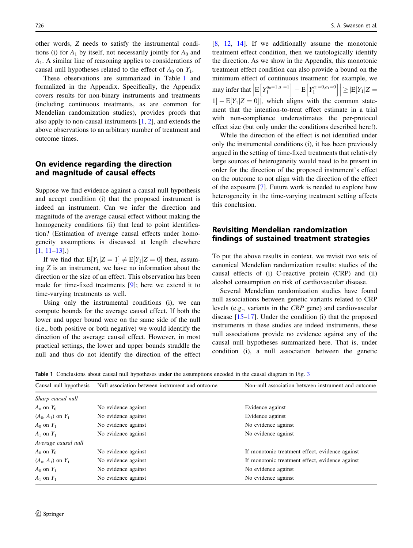other words, Z needs to satisfy the instrumental conditions (i) for  $A_1$  by itself, not necessarily jointly for  $A_0$  and  $A<sub>1</sub>$ . A similar line of reasoning applies to considerations of causal null hypotheses related to the effect of  $A_0$  on  $Y_1$ .

These observations are summarized in Table 1 and formalized in the Appendix. Specifically, the Appendix covers results for non-binary instruments and treatments (including continuous treatments, as are common for Mendelian randomization studies), provides proofs that also apply to non-causal instruments [\[1](#page-4-0), [2](#page-4-0)], and extends the above observations to an arbitrary number of treatment and outcome times.

## On evidence regarding the direction and magnitude of causal effects

Suppose we find evidence against a causal null hypothesis and accept condition (i) that the proposed instrument is indeed an instrument. Can we infer the direction and magnitude of the average causal effect without making the homogeneity conditions (ii) that lead to point identification? (Estimation of average causal effects under homogeneity assumptions is discussed at length elsewhere  $[1, 11-13]$  $[1, 11-13]$ .

If we find that  $E[Y_1|Z = 1] \neq E[Y_1|Z = 0]$  then, assuming Z is an instrument, we have no information about the direction or the size of an effect. This observation has been made for time-fixed treatments [[9\]](#page-5-0); here we extend it to time-varying treatments as well.

Using only the instrumental conditions (i), we can compute bounds for the average causal effect. If both the lower and upper bound were on the same side of the null (i.e., both positive or both negative) we would identify the direction of the average causal effect. However, in most practical settings, the lower and upper bounds straddle the null and thus do not identify the direction of the effect [\[8](#page-5-0), [12,](#page-5-0) [14](#page-5-0)]. If we additionally assume the monotonic treatment effect condition, then we tautologically identify the direction. As we show in the Appendix, this monotonic treatment effect condition can also provide a bound on the minimum effect of continuous treatment: for example, we may infer that  $\left| E \left[ Y_1^{a_0=1, a_1=1} \right] - E \left[ Y_1^{a_0=0, a_1=0} \right] \right|$  $\geq$   $|E[Y_1|Z =$  $1 - E[Y_1|Z = 0]$ , which aligns with the common statement that the intention-to-treat effect estimate in a trial with non-compliance underestimates the per-protocol effect size (but only under the conditions described here!).

While the direction of the effect is not identified under only the instrumental conditions (i), it has been previously argued in the setting of time-fixed treatments that relatively large sources of heterogeneity would need to be present in order for the direction of the proposed instrument's effect on the outcome to not align with the direction of the effect of the exposure [\[7](#page-5-0)]. Future work is needed to explore how heterogeneity in the time-varying treatment setting affects this conclusion.

## Revisiting Mendelian randomization findings of sustained treatment strategies

To put the above results in context, we revisit two sets of canonical Mendelian randomization results: studies of the causal effects of (i) C-reactive protein (CRP) and (ii) alcohol consumption on risk of cardiovascular disease.

Several Mendelian randomization studies have found null associations between genetic variants related to CRP levels (e.g., variants in the CRP gene) and cardiovascular disease [[15–17\]](#page-5-0). Under the condition (i) that the proposed instruments in these studies are indeed instruments, these null associations provide no evidence against any of the causal null hypotheses summarized here. That is, under condition (i), a null association between the genetic

Table 1 Conclusions about causal null hypotheses under the assumptions encoded in the causal diagram in Fig. [3](#page-2-0)

| Causal null hypothesis | Null association between instrument and outcome | Non-null association between instrument and outcome |
|------------------------|-------------------------------------------------|-----------------------------------------------------|
| Sharp causal null      |                                                 |                                                     |
| $A_0$ on $Y_0$         | No evidence against                             | Evidence against                                    |
| $(A_0, A_1)$ on $Y_1$  | No evidence against                             | Evidence against                                    |
| $A_0$ on $Y_1$         | No evidence against                             | No evidence against                                 |
| $A_1$ on $Y_1$         | No evidence against                             | No evidence against                                 |
| Average causal null    |                                                 |                                                     |
| $A_0$ on $Y_0$         | No evidence against                             | If monotonic treatment effect, evidence against     |
| $(A_0, A_1)$ on $Y_1$  | No evidence against                             | If monotonic treatment effect, evidence against     |
| $A_0$ on $Y_1$         | No evidence against                             | No evidence against                                 |
| $A_1$ on $Y_1$         | No evidence against                             | No evidence against                                 |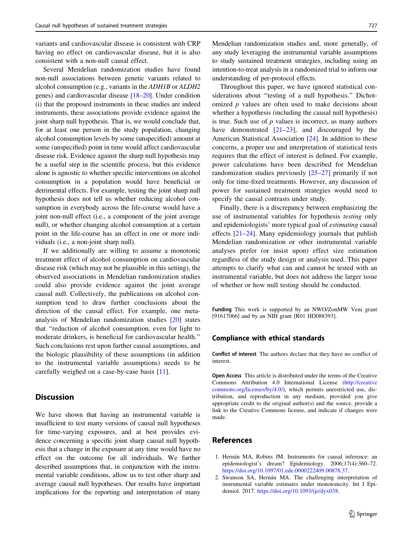<span id="page-4-0"></span>variants and cardiovascular disease is consistent with CRP having no effect on cardiovascular disease, but it is also consistent with a non-null causal effect.

Several Mendelian randomization studies have found non-null associations between genetic variants related to alcohol consumption (e.g., variants in the ADH1B or ALDH2 genes) and cardiovascular disease [\[18–20\]](#page-5-0). Under condition (i) that the proposed instruments in these studies are indeed instruments, these associations provide evidence against the joint sharp null hypothesis. That is, we would conclude that, for at least one person in the study population, changing alcohol consumption levels by some (unspecified) amount at some (unspecified) point in time would affect cardiovascular disease risk. Evidence against the sharp null hypothesis may be a useful step in the scientific process, but this evidence alone is agnostic to whether specific interventions on alcohol consumption in a population would have beneficial or detrimental effects. For example, testing the joint sharp null hypothesis does not tell us whether reducing alcohol consumption in everybody across the life-course would have a joint non-null effect (i.e., a component of the joint average null), or whether changing alcohol consumption at a certain point in the life-course has an effect in one or more individuals (i.e., a non-joint sharp null).

If we additionally are willing to assume a monotonic treatment effect of alcohol consumption on cardiovascular disease risk (which may not be plausible in this setting), the observed associations in Mendelian randomization studies could also provide evidence against the joint average causal null. Collectively, the publications on alcohol consumption tend to draw further conclusions about the direction of the causal effect. For example, one metaanalysis of Mendelian randomization studies [[20\]](#page-5-0) states that ''reduction of alcohol consumption, even for light to moderate drinkers, is beneficial for cardiovascular health.'' Such conclusions rest upon further causal assumptions, and the biologic plausibility of these assumptions (in addition to the instrumental variable assumptions) needs to be carefully weighed on a case-by-case basis [\[11](#page-5-0)].

## **Discussion**

We have shown that having an instrumental variable is insufficient to test many versions of causal null hypotheses for time-varying exposures, and at best provides evidence concerning a specific joint sharp causal null hypothesis that a change in the exposure at any time would have no effect on the outcome for all individuals. We further described assumptions that, in conjunction with the instrumental variable conditions, allow us to test other sharp and average causal null hypotheses. Our results have important implications for the reporting and interpretation of many Mendelian randomization studies and, more generally, of any study leveraging the instrumental variable assumptions to study sustained treatment strategies, including using an intention-to-treat analysis in a randomized trial to inform our understanding of per-protocol effects.

Throughout this paper, we have ignored statistical considerations about "testing of a null hypothesis." Dichotomized  $p$  values are often used to make decisions about whether a hypothesis (including the causal null hypothesis) is true. Such use of  $p$  values is incorrect, as many authors have demonstrated [[21–23\]](#page-5-0), and discouraged by the American Statistical Association [[24\]](#page-5-0). In addition to these concerns, a proper use and interpretation of statistical tests requires that the effect of interest is defined. For example, power calculations have been described for Mendelian randomization studies previously [[25–27](#page-5-0)] primarily if not only for time-fixed treatments. However, any discussion of power for sustained treatment strategies would need to specify the causal contrasts under study.

Finally, there is a discrepancy between emphasizing the use of instrumental variables for hypothesis testing only and epidemiologists' more typical goal of estimating causal effects [[21–24\]](#page-5-0). Many epidemiology journals that publish Mendelian randomization or other instrumental variable analyses prefer (or insist upon) effect size estimation regardless of the study design or analysis used. This paper attempts to clarify what can and cannot be tested with an instrumental variable, but does not address the larger issue of whether or how null testing should be conducted.

Funding This work is supported by an NWO/ZonMW Veni grant [91617066] and by an NIH grant [R01 HD088393].

#### Compliance with ethical standards

Conflict of interest The authors declare that they have no conflict of interest.

Open Access This article is distributed under the terms of the Creative Commons Attribution 4.0 International License ([http://creative](http://creativecommons.org/licenses/by/4.0/) [commons.org/licenses/by/4.0/](http://creativecommons.org/licenses/by/4.0/)), which permits unrestricted use, distribution, and reproduction in any medium, provided you give appropriate credit to the original author(s) and the source, provide a link to the Creative Commons license, and indicate if changes were made.

#### References

- 1. Hernán MA, Robins JM. Instruments for causal inference: an epidemiologist's dream? Epidemiology. 2006;17(4):360–72. [https://doi.org/10.1097/01.ede.0000222409.00878.37.](https://doi.org/10.1097/01.ede.0000222409.00878.37)
- 2. Swanson SA, Hernán MA. The challenging interpretation of instrumental variable estimates under monotonicity. Int J Epidemiol. 2017. [https://doi.org/10.1093/ije/dyx038.](https://doi.org/10.1093/ije/dyx038)